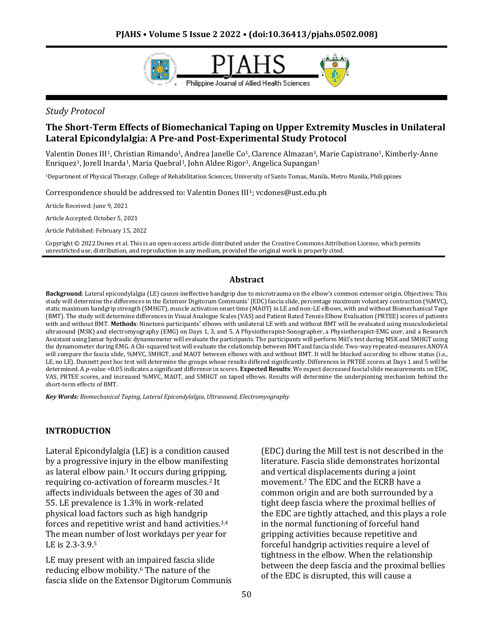

### *Study Protocol*

# **The Short-Term Effects of Biomechanical Taping on Upper Extremity Muscles in Unilateral Lateral Epicondylalgia: A Pre-and Post-Experimental Study Protocol**

Valentin Dones III<sup>1</sup>, Christian Rimando<sup>1</sup>, Andrea Janelle Co<sup>1</sup>, Clarence Almazan<sup>1</sup>, Marie Capistrano<sup>1</sup>, Kimberly-Anne Enriquez<sup>1</sup>, Jorell Inarda<sup>1</sup>, Maria Quebral<sup>1</sup>, John Aldee Rigor<sup>1</sup>, Angelica Supangan<sup>1</sup>

<sup>1</sup>Department of Physical Therapy, College of Rehabilitation Sciences, University of Santo Tomas, Manila, Metro Manila, Philippines

Correspondence should be addressed to: Valentin Dones III1; vcdones@ust.edu.ph

Article Received: June 9, 2021

Article Accepted: October 5, 2021

Article Published: February 15, 2022

Copyright © 2022 Dones et al. This is an open-access article distributed under the Creative Commons Attribution License, which permits unrestricted use, distribution, and reproduction in any medium, provided the original work is properly cited.

#### **Abstract**

**Background**: Lateral epicondylalgia (LE) causes ineffective handgrip due to microtrauma on the elbow's common extensor origin. Objectives: This study will determine the differences in the Extensor Digitorum Communis' (EDC) fascia slide, percentage maximum voluntary contraction (%MVC), static maximum handgrip strength (SMHGT), muscle activation onset time (MAOT) in LE and non-LE elbows, with and without Biomechanical Tape (BMT). The study will determine differences in Visual Analogue Scales (VAS) and Patient Rated Tennis Elbow Evaluation (PRTEE) scores of patients with and without BMT. **Methods**: Nineteen participants' elbows with unilateral LE with and without BMT will be evaluated using musculoskeletal ultrasound (MSK) and electromyography (EMG) on Days 1, 3, and 5. A Physiotherapist-Sonographer, a Physiotherapist-EMG user, and a Research Assistant using Jamar hydraulic dynamometer will evaluate the participants. The participants will perform Mill's test during MSK and SMHGT using the dynamometer during EMG. A Chi-squared test will evaluate the relationship between BMT and fascia slide. Two-way repeated-measures ANOVA will compare the fascia slide, %MVC, SMHGT, and MAOT between elbows with and without BMT. It will be blocked according to elbow status (i.e., LE, no LE). Dunnett post hoc test will determine the groups whose results differed significantly. Differences in PRTEE scores at Days 1 and 5 will be determined. A *p*-value <0.05 indicates a significant difference in scores. **Expected Results**: We expect decreased fascial slide measurements on EDC, VAS, PRTEE scores, and increased %MVC, MAOT, and SMHGT on taped elbows. Results will determine the underpinning mechanism behind the short-term effects of BMT.

*Key Words: Biomechanical Taping, Lateral Epicondylalgia, Ultrasound, Electromyography*

### **INTRODUCTION**

Lateral Epicondylalgia (LE) is a condition caused by a progressive injury in the elbow manifesting as lateral elbow pain.<sup>1</sup> It occurs during gripping, requiring co-activation of forearm muscles.<sup>2</sup> It affects individuals between the ages of 30 and 55. LE prevalence is 1.3% in work-related physical load factors such as high handgrip forces and repetitive wrist and hand activities.3,4 The mean number of lost workdays per year for LE is 2.3-3.9.<sup>5</sup>

LE may present with an impaired fascia slide reducing elbow mobility.<sup>6</sup> The nature of the fascia slide on the Extensor Digitorum Communis (EDC) during the Mill test is not described in the literature. Fascia slide demonstrates horizontal and vertical displacements during a joint movement.<sup>7</sup> The EDC and the ECRB have a common origin and are both surrounded by a tight deep fascia where the proximal bellies of the EDC are tightly attached, and this plays a role in the normal functioning of forceful hand gripping activities because repetitive and forceful handgrip activities require a level of tightness in the elbow. When the relationship between the deep fascia and the proximal bellies of the EDC is disrupted, this will cause a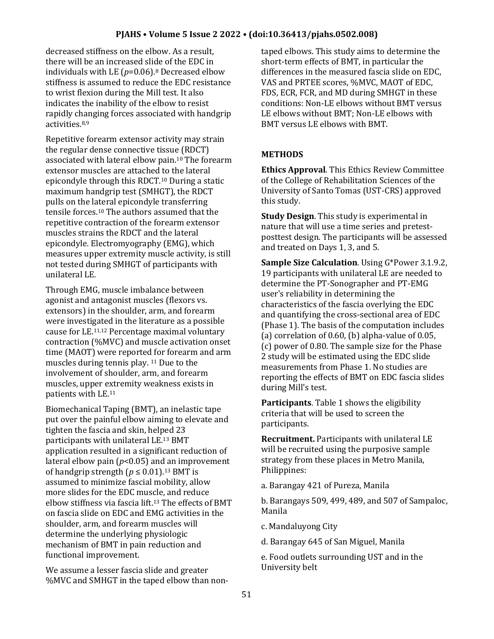decreased stiffness on the elbow. As a result, there will be an increased slide of the EDC in individuals with LE (*p*=0.06).<sup>8</sup> Decreased elbow stiffness is assumed to reduce the EDC resistance to wrist flexion during the Mill test. It also indicates the inability of the elbow to resist rapidly changing forces associated with handgrip activities.8,9

Repetitive forearm extensor activity may strain the regular dense connective tissue (RDCT) associated with lateral elbow pain.<sup>10</sup> The forearm extensor muscles are attached to the lateral epicondyle through this RDCT.<sup>10</sup> During a static maximum handgrip test (SMHGT), the RDCT pulls on the lateral epicondyle transferring tensile forces.<sup>10</sup> The authors assumed that the repetitive contraction of the forearm extensor muscles strains the RDCT and the lateral epicondyle. Electromyography (EMG), which measures upper extremity muscle activity, is still not tested during SMHGT of participants with unilateral LE.

Through EMG, muscle imbalance between agonist and antagonist muscles (flexors vs. extensors) in the shoulder, arm, and forearm were investigated in the literature as a possible cause for LE.11,12 Percentage maximal voluntary contraction (%MVC) and muscle activation onset time (MAOT) were reported for forearm and arm muscles during tennis play. <sup>11</sup> Due to the involvement of shoulder, arm, and forearm muscles, upper extremity weakness exists in patients with LE.<sup>11</sup>

Biomechanical Taping (BMT), an inelastic tape put over the painful elbow aiming to elevate and tighten the fascia and skin, helped 23 participants with unilateral LE.<sup>13</sup> BMT application resulted in a significant reduction of lateral elbow pain (*p*<0.05) and an improvement of handgrip strength  $(p \le 0.01)$ <sup>13</sup> BMT is assumed to minimize fascial mobility, allow more slides for the EDC muscle, and reduce elbow stiffness via fascia lift.<sup>13</sup> The effects of BMT on fascia slide on EDC and EMG activities in the shoulder, arm, and forearm muscles will determine the underlying physiologic mechanism of BMT in pain reduction and functional improvement.

We assume a lesser fascia slide and greater %MVC and SMHGT in the taped elbow than nontaped elbows. This study aims to determine the short-term effects of BMT, in particular the differences in the measured fascia slide on EDC, VAS and PRTEE scores, %MVC, MAOT of EDC, FDS, ECR, FCR, and MD during SMHGT in these conditions: Non-LE elbows without BMT versus LE elbows without BMT; Non-LE elbows with BMT versus LE elbows with BMT.

### **METHODS**

**Ethics Approval**. This Ethics Review Committee of the College of Rehabilitation Sciences of the University of Santo Tomas (UST-CRS) approved this study.

**Study Design**. This study is experimental in nature that will use a time series and pretestposttest design. The participants will be assessed and treated on Days 1, 3, and 5.

**Sample Size Calculation**. Using G\*Power 3.1.9.2, 19 participants with unilateral LE are needed to determine the PT-Sonographer and PT-EMG user's reliability in determining the characteristics of the fascia overlying the EDC and quantifying the cross-sectional area of EDC (Phase 1). The basis of the computation includes (a) correlation of 0.60, (b) alpha-value of 0.05, (c) power of 0.80. The sample size for the Phase 2 study will be estimated using the EDC slide measurements from Phase 1. No studies are reporting the effects of BMT on EDC fascia slides during Mill's test.

**Participants**. Table 1 shows the eligibility criteria that will be used to screen the participants.

**Recruitment.** Participants with unilateral LE will be recruited using the purposive sample strategy from these places in Metro Manila, Philippines:

a. Barangay 421 of Pureza, Manila

b. Barangays 509, 499, 489, and 507 of Sampaloc, Manila

c. Mandaluyong City

d. Barangay 645 of San Miguel, Manila

e. Food outlets surrounding UST and in the University belt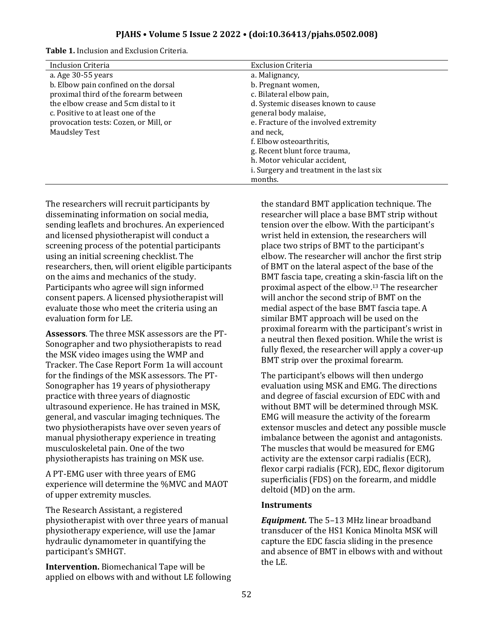| Table 1. Inclusion and Exclusion Criteria. |  |
|--------------------------------------------|--|
|--------------------------------------------|--|

| <b>Inclusion Criteria</b>             | <b>Exclusion Criteria</b>                |
|---------------------------------------|------------------------------------------|
| a. Age $30-55$ years                  | a. Malignancy,                           |
| b. Elbow pain confined on the dorsal  | b. Pregnant women,                       |
| proximal third of the forearm between | c. Bilateral elbow pain,                 |
| the elbow crease and 5cm distal to it | d. Systemic diseases known to cause      |
| c. Positive to at least one of the    | general body malaise,                    |
| provocation tests: Cozen, or Mill, or | e. Fracture of the involved extremity    |
| <b>Maudsley Test</b>                  | and neck,                                |
|                                       | f. Elbow osteoarthritis,                 |
|                                       | g. Recent blunt force trauma,            |
|                                       | h. Motor vehicular accident,             |
|                                       | i. Surgery and treatment in the last six |
|                                       | months.                                  |

The researchers will recruit participants by disseminating information on social media, sending leaflets and brochures. An experienced and licensed physiotherapist will conduct a screening process of the potential participants using an initial screening checklist. The researchers, then, will orient eligible participants on the aims and mechanics of the study. Participants who agree will sign informed consent papers. A licensed physiotherapist will evaluate those who meet the criteria using an evaluation form for LE.

**Assessors**. The three MSK assessors are the PT-Sonographer and two physiotherapists to read the MSK video images using the WMP and Tracker. The Case Report Form 1a will account for the findings of the MSK assessors. The PT-Sonographer has 19 years of physiotherapy practice with three years of diagnostic ultrasound experience. He has trained in MSK, general, and vascular imaging techniques. The two physiotherapists have over seven years of manual physiotherapy experience in treating musculoskeletal pain. One of the two physiotherapists has training on MSK use.

A PT-EMG user with three years of EMG experience will determine the %MVC and MAOT of upper extremity muscles.

The Research Assistant, a registered physiotherapist with over three years of manual physiotherapy experience, will use the Jamar hydraulic dynamometer in quantifying the participant's SMHGT.

**Intervention.** Biomechanical Tape will be applied on elbows with and without LE following the standard BMT application technique. The researcher will place a base BMT strip without tension over the elbow. With the participant's wrist held in extension, the researchers will place two strips of BMT to the participant's elbow. The researcher will anchor the first strip of BMT on the lateral aspect of the base of the BMT fascia tape, creating a skin-fascia lift on the proximal aspect of the elbow.<sup>13</sup> The researcher will anchor the second strip of BMT on the medial aspect of the base BMT fascia tape. A similar BMT approach will be used on the proximal forearm with the participant's wrist in a neutral then flexed position. While the wrist is fully flexed, the researcher will apply a cover-up BMT strip over the proximal forearm.

The participant's elbows will then undergo evaluation using MSK and EMG. The directions and degree of fascial excursion of EDC with and without BMT will be determined through MSK. EMG will measure the activity of the forearm extensor muscles and detect any possible muscle imbalance between the agonist and antagonists. The muscles that would be measured for EMG activity are the extensor carpi radialis (ECR), flexor carpi radialis (FCR), EDC, flexor digitorum superficialis (FDS) on the forearm, and middle deltoid (MD) on the arm.

### **Instruments**

*Equipment.* The 5–13 MHz linear broadband transducer of the HS1 Konica Minolta MSK will capture the EDC fascia sliding in the presence and absence of BMT in elbows with and without the LE.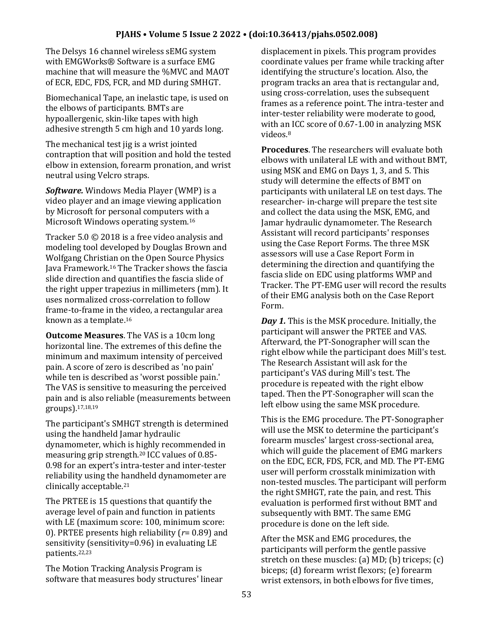The Delsys 16 channel wireless sEMG system with EMGWorks® Software is a surface EMG machine that will measure the %MVC and MAOT of ECR, EDC, FDS, FCR, and MD during SMHGT.

Biomechanical Tape, an inelastic tape, is used on the elbows of participants. BMTs are hypoallergenic, skin-like tapes with high adhesive strength 5 cm high and 10 yards long.

The mechanical test jig is a wrist jointed contraption that will position and hold the tested elbow in extension, forearm pronation, and wrist neutral using Velcro straps.

*Software.* Windows Media Player (WMP) is a video player and an image viewing application by Microsoft for personal computers with a Microsoft Windows operating system.<sup>16</sup>

Tracker 5.0 © 2018 is a free video analysis and modeling tool developed by Douglas Brown and Wolfgang Christian on the Open Source Physics Java Framework.<sup>16</sup> The Tracker shows the fascia slide direction and quantifies the fascia slide of the right upper trapezius in millimeters (mm). It uses normalized cross-correlation to follow frame-to-frame in the video, a rectangular area known as a template.<sup>16</sup>

**Outcome Measures**. The VAS is a 10cm long horizontal line. The extremes of this define the minimum and maximum intensity of perceived pain. A score of zero is described as 'no pain' while ten is described as 'worst possible pain.' The VAS is sensitive to measuring the perceived pain and is also reliable (measurements between groups).17,18,19

The participant's SMHGT strength is determined using the handheld Jamar hydraulic dynamometer, which is highly recommended in measuring grip strength.<sup>20</sup> ICC values of 0.85- 0.98 for an expert's intra-tester and inter-tester reliability using the handheld dynamometer are clinically acceptable.<sup>21</sup>

The PRTEE is 15 questions that quantify the average level of pain and function in patients with LE (maximum score: 100, minimum score: 0). PRTEE presents high reliability (*r*= 0.89) and sensitivity (sensitivity=0.96) in evaluating LE patients.22,23

The Motion Tracking Analysis Program is software that measures body structures' linear displacement in pixels. This program provides coordinate values per frame while tracking after identifying the structure's location. Also, the program tracks an area that is rectangular and, using cross-correlation, uses the subsequent frames as a reference point. The intra-tester and inter-tester reliability were moderate to good, with an ICC score of 0.67-1.00 in analyzing MSK videos.<sup>8</sup>

**Procedures**. The researchers will evaluate both elbows with unilateral LE with and without BMT, using MSK and EMG on Days 1, 3, and 5. This study will determine the effects of BMT on participants with unilateral LE on test days. The researcher- in-charge will prepare the test site and collect the data using the MSK, EMG, and Jamar hydraulic dynamometer. The Research Assistant will record participants' responses using the Case Report Forms. The three MSK assessors will use a Case Report Form in determining the direction and quantifying the fascia slide on EDC using platforms WMP and Tracker. The PT-EMG user will record the results of their EMG analysis both on the Case Report Form.

*Day 1.* This is the MSK procedure. Initially, the participant will answer the PRTEE and VAS. Afterward, the PT-Sonographer will scan the right elbow while the participant does Mill's test. The Research Assistant will ask for the participant's VAS during Mill's test. The procedure is repeated with the right elbow taped. Then the PT-Sonographer will scan the left elbow using the same MSK procedure.

This is the EMG procedure. The PT-Sonographer will use the MSK to determine the participant's forearm muscles' largest cross-sectional area, which will guide the placement of EMG markers on the EDC, ECR, FDS, FCR, and MD. The PT-EMG user will perform crosstalk minimization with non-tested muscles. The participant will perform the right SMHGT, rate the pain, and rest. This evaluation is performed first without BMT and subsequently with BMT. The same EMG procedure is done on the left side.

After the MSK and EMG procedures, the participants will perform the gentle passive stretch on these muscles: (a) MD; (b) triceps; (c) biceps; (d) forearm wrist flexors; (e) forearm wrist extensors, in both elbows for five times,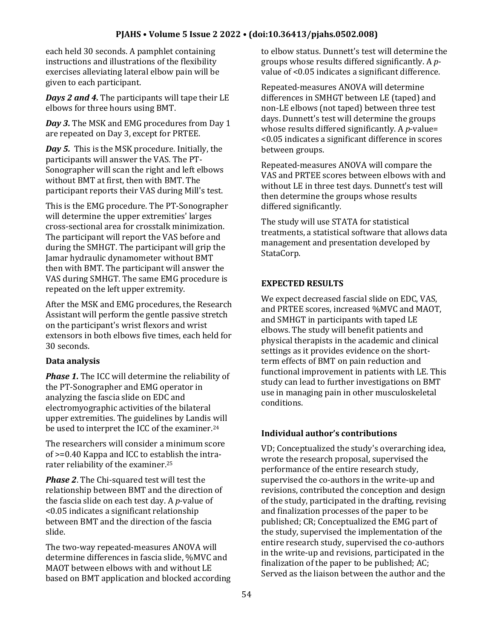each held 30 seconds. A pamphlet containing instructions and illustrations of the flexibility exercises alleviating lateral elbow pain will be given to each participant.

*Days 2 and 4.* The participants will tape their LE elbows for three hours using BMT.

*Day 3.* The MSK and EMG procedures from Day 1 are repeated on Day 3, except for PRTEE.

*Day 5.* This is the MSK procedure. Initially, the participants will answer the VAS. The PT-Sonographer will scan the right and left elbows without BMT at first, then with BMT. The participant reports their VAS during Mill's test.

This is the EMG procedure. The PT-Sonographer will determine the upper extremities' larges cross-sectional area for crosstalk minimization. The participant will report the VAS before and during the SMHGT. The participant will grip the Jamar hydraulic dynamometer without BMT then with BMT. The participant will answer the VAS during SMHGT. The same EMG procedure is repeated on the left upper extremity.

After the MSK and EMG procedures, the Research Assistant will perform the gentle passive stretch on the participant's wrist flexors and wrist extensors in both elbows five times, each held for 30 seconds.

# **Data analysis**

*Phase 1.* The ICC will determine the reliability of the PT-Sonographer and EMG operator in analyzing the fascia slide on EDC and electromyographic activities of the bilateral upper extremities. The guidelines by Landis will be used to interpret the ICC of the examiner.<sup>24</sup>

The researchers will consider a minimum score of >=0.40 Kappa and ICC to establish the intrarater reliability of the examiner.<sup>25</sup>

*Phase 2*. The Chi-squared test will test the relationship between BMT and the direction of the fascia slide on each test day. A *p*-value of <0.05 indicates a significant relationship between BMT and the direction of the fascia slide.

The two-way repeated-measures ANOVA will determine differences in fascia slide, %MVC and MAOT between elbows with and without LE based on BMT application and blocked according to elbow status. Dunnett's test will determine the groups whose results differed significantly. A *p*value of <0.05 indicates a significant difference.

Repeated-measures ANOVA will determine differences in SMHGT between LE (taped) and non-LE elbows (not taped) between three test days. Dunnett's test will determine the groups whose results differed significantly. A *p*-value= <0.05 indicates a significant difference in scores between groups.

Repeated-measures ANOVA will compare the VAS and PRTEE scores between elbows with and without LE in three test days. Dunnett's test will then determine the groups whose results differed significantly.

The study will use STATA for statistical treatments, a statistical software that allows data management and presentation developed by StataCorp.

# **EXPECTED RESULTS**

We expect decreased fascial slide on EDC, VAS, and PRTEE scores, increased %MVC and MAOT, and SMHGT in participants with taped LE elbows. The study will benefit patients and physical therapists in the academic and clinical settings as it provides evidence on the shortterm effects of BMT on pain reduction and functional improvement in patients with LE. This study can lead to further investigations on BMT use in managing pain in other musculoskeletal conditions.

# **Individual author's contributions**

VD; Conceptualized the study's overarching idea, wrote the research proposal, supervised the performance of the entire research study, supervised the co-authors in the write-up and revisions, contributed the conception and design of the study, participated in the drafting, revising and finalization processes of the paper to be published; CR; Conceptualized the EMG part of the study, supervised the implementation of the entire research study, supervised the co-authors in the write-up and revisions, participated in the finalization of the paper to be published; AC; Served as the liaison between the author and the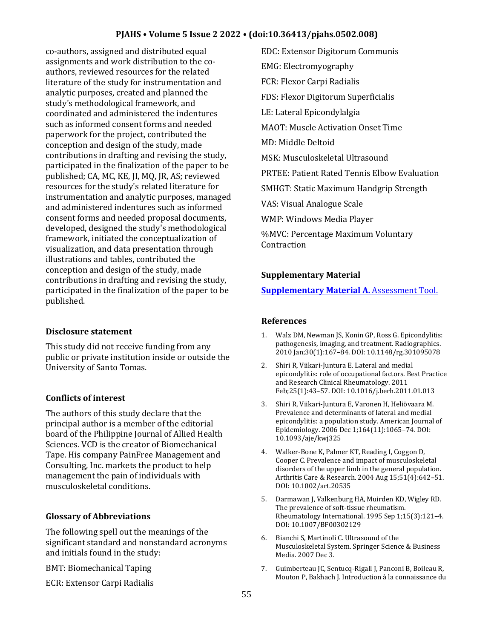co-authors, assigned and distributed equal assignments and work distribution to the coauthors, reviewed resources for the related literature of the study for instrumentation and analytic purposes, created and planned the study's methodological framework, and coordinated and administered the indentures such as informed consent forms and needed paperwork for the project, contributed the conception and design of the study, made contributions in drafting and revising the study, participated in the finalization of the paper to be published; CA, MC, KE, JI, MQ, JR, AS; reviewed resources for the study's related literature for instrumentation and analytic purposes, managed and administered indentures such as informed consent forms and needed proposal documents, developed, designed the study's methodological framework, initiated the conceptualization of visualization, and data presentation through illustrations and tables, contributed the conception and design of the study, made contributions in drafting and revising the study, participated in the finalization of the paper to be published.

# **Disclosure statement**

This study did not receive funding from any public or private institution inside or outside the University of Santo Tomas.

# **Conflicts of interest**

The authors of this study declare that the principal author is a member of the editorial board of the Philippine Journal of Allied Health Sciences. VCD is the creator of Biomechanical Tape. His company PainFree Management and Consulting, Inc. markets the product to help management the pain of individuals with musculoskeletal conditions.

# **Glossary of Abbreviations**

The following spell out the meanings of the significant standard and nonstandard acronyms and initials found in the study:

BMT: Biomechanical Taping

ECR: Extensor Carpi Radialis

EDC: Extensor Digitorum Communis EMG: Electromyography FCR: Flexor Carpi Radialis FDS: Flexor Digitorum Superficialis LE: Lateral Epicondylalgia MAOT: Muscle Activation Onset Time MD: Middle Deltoid MSK: Musculoskeletal Ultrasound PRTEE: Patient Rated Tennis Elbow Evaluation SMHGT: Static Maximum Handgrip Strength VAS: Visual Analogue Scale WMP: Windows Media Player %MVC: Percentage Maximum Voluntary Contraction

### **Supplementary Material**

# **[Supplementary Material A.](https://drive.google.com/file/d/1smk1-DgCPGMxfO7aOBtgWuPvGR9UQYs0/view?usp=sharing)** Assessment Tool.

### **References**

- 1. Walz DM, Newman JS, Konin GP, Ross G. Epicondylitis: pathogenesis, imaging, and treatment. Radiographics. 2010 Jan;30(1):167–84. DOI: 10.1148/rg.301095078
- 2. Shiri R, Viikari-Juntura E. Lateral and medial epicondylitis: role of occupational factors. Best Practice and Research Clinical Rheumatology. 2011 Feb;25(1):43–57. DOI: 10.1016/j.berh.2011.01.013
- 3. Shiri R, Viikari-Juntura E, Varonen H, Heliövaara M. Prevalence and determinants of lateral and medial epicondylitis: a population study. American Journal of Epidemiology. 2006 Dec 1;164(11):1065–74. DOI: 10.1093/aje/kwj325
- 4. Walker-Bone K, Palmer KT, Reading I, Coggon D, Cooper C. Prevalence and impact of musculoskeletal disorders of the upper limb in the general population. Arthritis Care & Research. 2004 Aug 15;51(4):642–51. DOI: 10.1002/art.20535
- 5. Darmawan J, Valkenburg HA, Muirden KD, Wigley RD. The prevalence of soft-tissue rheumatism. Rheumatology International. 1995 Sep 1;15(3):121–4. DOI: 10.1007/BF00302129
- 6. Bianchi S, Martinoli C. Ultrasound of the Musculoskeletal System. Springer Science & Business Media. 2007 Dec 3.
- 7. Guimberteau JC, Sentucq-Rigall J, Panconi B, Boileau R, Mouton P, Bakhach J. Introduction à la connaissance du